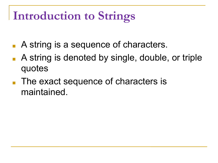### **Introduction to Strings**

- A string is a sequence of characters.
- A string is denoted by single, double, or triple quotes
- The exact sequence of characters is maintained.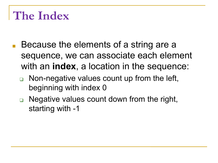### **The Index**

- Because the elements of a string are a sequence, we can associate each element with an **index**, a location in the sequence:
	- ❑ Non-negative values count up from the left, beginning with index 0
	- ❑ Negative values count down from the right, starting with -1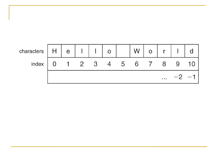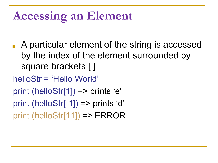## **Accessing an Element**

- A particular element of the string is accessed by the index of the element surrounded by square brackets [ ]
- helloStr = 'Hello World'
- print (helloStr[1]) => prints 'e'
- print (helloStr[-1]) => prints 'd'
- print (helloStr[11]) => ERROR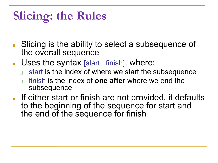# **Slicing: the Rules**

- Slicing is the ability to select a subsequence of the overall sequence
- Uses the syntax [start : finish], where:
	- ❑ start is the index of where we start the subsequence
	- ❑ finish is the index of **one after** where we end the subsequence
- If either start or finish are not provided, it defaults to the beginning of the sequence for start and the end of the sequence for finish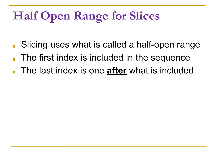# **Half Open Range for Slices**

- Slicing uses what is called a half-open range
- The first index is included in the sequence
- The last index is one **after** what is included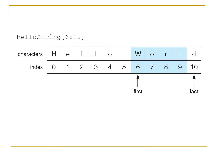helloString[6:10]

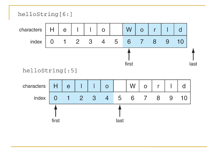



helloString[:5]

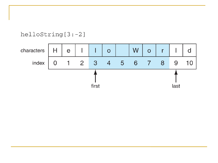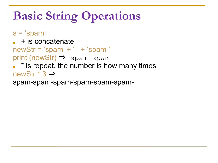# **Basic String Operations**

- s = 'spam'
- $\blacksquare$  + is concatenate
- newStr = 'spam' + '-' + 'spam-'
- print (newStr) ⇒ spam-spam-
- \* is repeat, the number is how many times newStr \* 3 ⇒

spam-spam-spam-spam-spam-spam-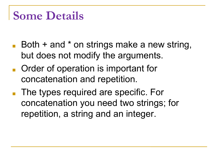#### **Some Details**

- Both + and \* on strings make a new string, but does not modify the arguments.
- Order of operation is important for concatenation and repetition.
- The types required are specific. For concatenation you need two strings; for repetition, a string and an integer.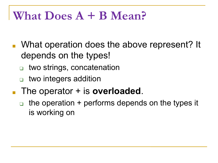#### **What Does A + B Mean?**

- What operation does the above represent? It depends on the types!
	- two strings, concatenation
	- ❑ two integers addition
- The operator + is **overloaded**.
	- the operation  $+$  performs depends on the types it is working on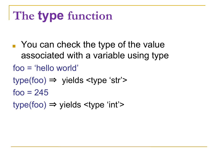# **The type function**

- You can check the type of the value associated with a variable using type
- foo = 'hello world'
- $type(foo) \Rightarrow$  yields  $ltype$  'str'>
- $f_{OO} = 245$
- $type(foo) \Rightarrow yields \le type \le 'int' \ge$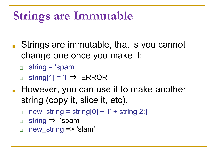## **Strings are Immutable**

- Strings are immutable, that is you cannot change one once you make it:
	- ❑ string = 'spam'
	- ❑ string[1] = 'l' ⇒ ERROR
- However, you can use it to make another string (copy it, slice it, etc).
	- $\Box$  new\_string = string[0] + 'l' + string[2:]
	- ❑ string ⇒ 'spam'
	- □ new string => 'slam'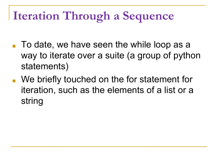# **Iteration Through a Sequence**

- $\blacksquare$  To date, we have seen the while loop as a way to iterate over a suite (a group of python statements)
- We briefly touched on the for statement for iteration, such as the elements of a list or a string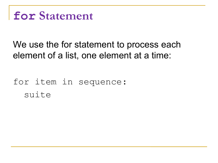#### **for Statement**

#### We use the for statement to process each element of a list, one element at a time:

#### for item in sequence: suite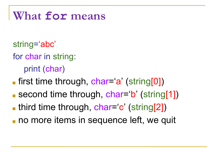#### **What for means**

- string='abc'
- for char in string:

print (char)

- **The first time through, char-'a' (string[0])**
- second time through, char='b' (string[1])
- **third time through, char='c' (string[2])**
- no more items in sequence left, we quit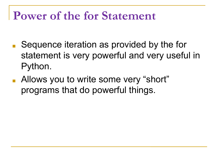#### **Power of the for Statement**

- Sequence iteration as provided by the for statement is very powerful and very useful in Python.
- Allows you to write some very "short" programs that do powerful things.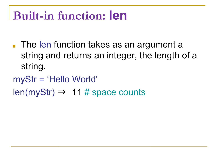### **Built-in function: len**

- The len function takes as an argument a string and returns an integer, the length of a string.
- myStr = 'Hello World'
- $len(myStr) \Rightarrow 11 # space counts$